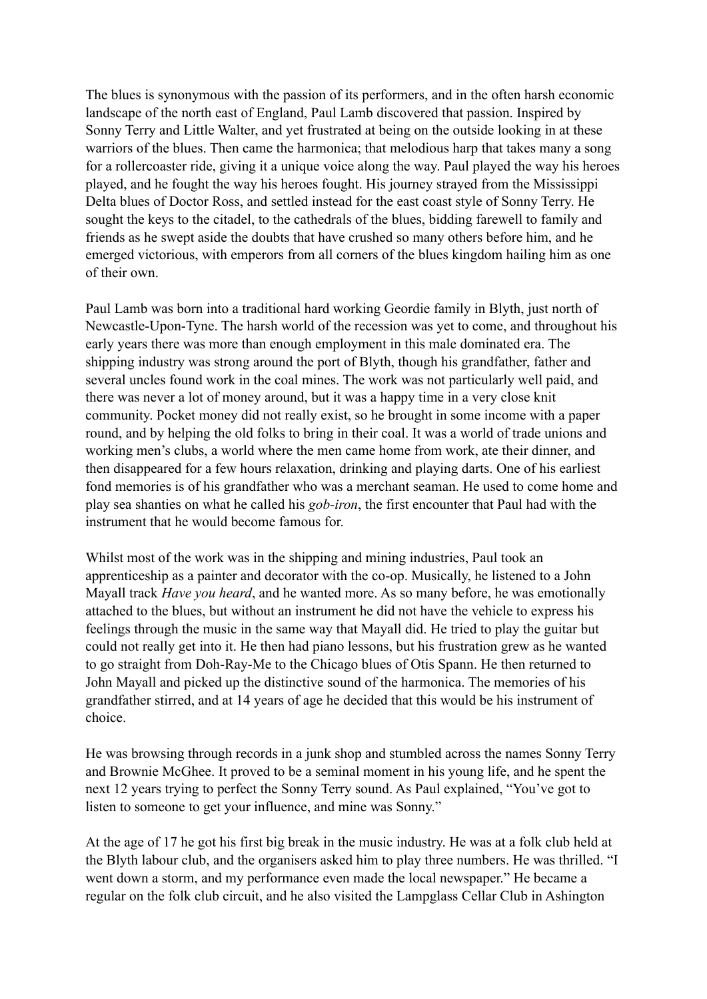The blues is synonymous with the passion of its performers, and in the often harsh economic landscape of the north east of England, Paul Lamb discovered that passion. Inspired by Sonny Terry and Little Walter, and yet frustrated at being on the outside looking in at these warriors of the blues. Then came the harmonica; that melodious harp that takes many a song for a rollercoaster ride, giving it a unique voice along the way. Paul played the way his heroes played, and he fought the way his heroes fought. His journey strayed from the Mississippi Delta blues of Doctor Ross, and settled instead for the east coast style of Sonny Terry. He sought the keys to the citadel, to the cathedrals of the blues, bidding farewell to family and friends as he swept aside the doubts that have crushed so many others before him, and he emerged victorious, with emperors from all corners of the blues kingdom hailing him as one of their own.

Paul Lamb was born into a traditional hard working Geordie family in Blyth, just north of Newcastle-Upon-Tyne. The harsh world of the recession was yet to come, and throughout his early years there was more than enough employment in this male dominated era. The shipping industry was strong around the port of Blyth, though his grandfather, father and several uncles found work in the coal mines. The work was not particularly well paid, and there was never a lot of money around, but it was a happy time in a very close knit community. Pocket money did not really exist, so he brought in some income with a paper round, and by helping the old folks to bring in their coal. It was a world of trade unions and working men's clubs, a world where the men came home from work, ate their dinner, and then disappeared for a few hours relaxation, drinking and playing darts. One of his earliest fond memories is of his grandfather who was a merchant seaman. He used to come home and play sea shanties on what he called his *gob-iron*, the first encounter that Paul had with the instrument that he would become famous for.

Whilst most of the work was in the shipping and mining industries, Paul took an apprenticeship as a painter and decorator with the co-op. Musically, he listened to a John Mayall track *Have you heard*, and he wanted more. As so many before, he was emotionally attached to the blues, but without an instrument he did not have the vehicle to express his feelings through the music in the same way that Mayall did. He tried to play the guitar but could not really get into it. He then had piano lessons, but his frustration grew as he wanted to go straight from Doh-Ray-Me to the Chicago blues of Otis Spann. He then returned to John Mayall and picked up the distinctive sound of the harmonica. The memories of his grandfather stirred, and at 14 years of age he decided that this would be his instrument of choice.

He was browsing through records in a junk shop and stumbled across the names Sonny Terry and Brownie McGhee. It proved to be a seminal moment in his young life, and he spent the next 12 years trying to perfect the Sonny Terry sound. As Paul explained, "You've got to listen to someone to get your influence, and mine was Sonny."

At the age of 17 he got his first big break in the music industry. He was at a folk club held at the Blyth labour club, and the organisers asked him to play three numbers. He was thrilled. "I went down a storm, and my performance even made the local newspaper." He became a regular on the folk club circuit, and he also visited the Lampglass Cellar Club in Ashington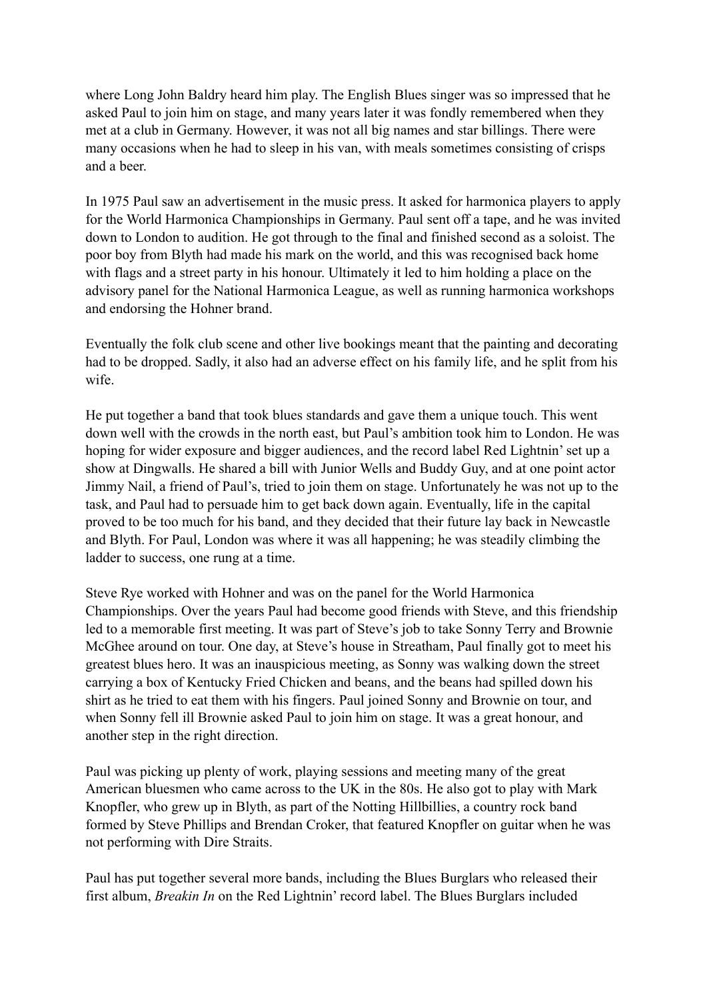where Long John Baldry heard him play. The English Blues singer was so impressed that he asked Paul to join him on stage, and many years later it was fondly remembered when they met at a club in Germany. However, it was not all big names and star billings. There were many occasions when he had to sleep in his van, with meals sometimes consisting of crisps and a beer.

In 1975 Paul saw an advertisement in the music press. It asked for harmonica players to apply for the World Harmonica Championships in Germany. Paul sent off a tape, and he was invited down to London to audition. He got through to the final and finished second as a soloist. The poor boy from Blyth had made his mark on the world, and this was recognised back home with flags and a street party in his honour. Ultimately it led to him holding a place on the advisory panel for the National Harmonica League, as well as running harmonica workshops and endorsing the Hohner brand.

Eventually the folk club scene and other live bookings meant that the painting and decorating had to be dropped. Sadly, it also had an adverse effect on his family life, and he split from his wife.

He put together a band that took blues standards and gave them a unique touch. This went down well with the crowds in the north east, but Paul's ambition took him to London. He was hoping for wider exposure and bigger audiences, and the record label Red Lightnin' set up a show at Dingwalls. He shared a bill with Junior Wells and Buddy Guy, and at one point actor Jimmy Nail, a friend of Paul's, tried to join them on stage. Unfortunately he was not up to the task, and Paul had to persuade him to get back down again. Eventually, life in the capital proved to be too much for his band, and they decided that their future lay back in Newcastle and Blyth. For Paul, London was where it was all happening; he was steadily climbing the ladder to success, one rung at a time.

Steve Rye worked with Hohner and was on the panel for the World Harmonica Championships. Over the years Paul had become good friends with Steve, and this friendship led to a memorable first meeting. It was part of Steve's job to take Sonny Terry and Brownie McGhee around on tour. One day, at Steve's house in Streatham, Paul finally got to meet his greatest blues hero. It was an inauspicious meeting, as Sonny was walking down the street carrying a box of Kentucky Fried Chicken and beans, and the beans had spilled down his shirt as he tried to eat them with his fingers. Paul joined Sonny and Brownie on tour, and when Sonny fell ill Brownie asked Paul to join him on stage. It was a great honour, and another step in the right direction.

Paul was picking up plenty of work, playing sessions and meeting many of the great American bluesmen who came across to the UK in the 80s. He also got to play with Mark Knopfler, who grew up in Blyth, as part of the Notting Hillbillies, a country rock band formed by Steve Phillips and Brendan Croker, that featured Knopfler on guitar when he was not performing with Dire Straits.

Paul has put together several more bands, including the Blues Burglars who released their first album, *Breakin In* on the Red Lightnin' record label. The Blues Burglars included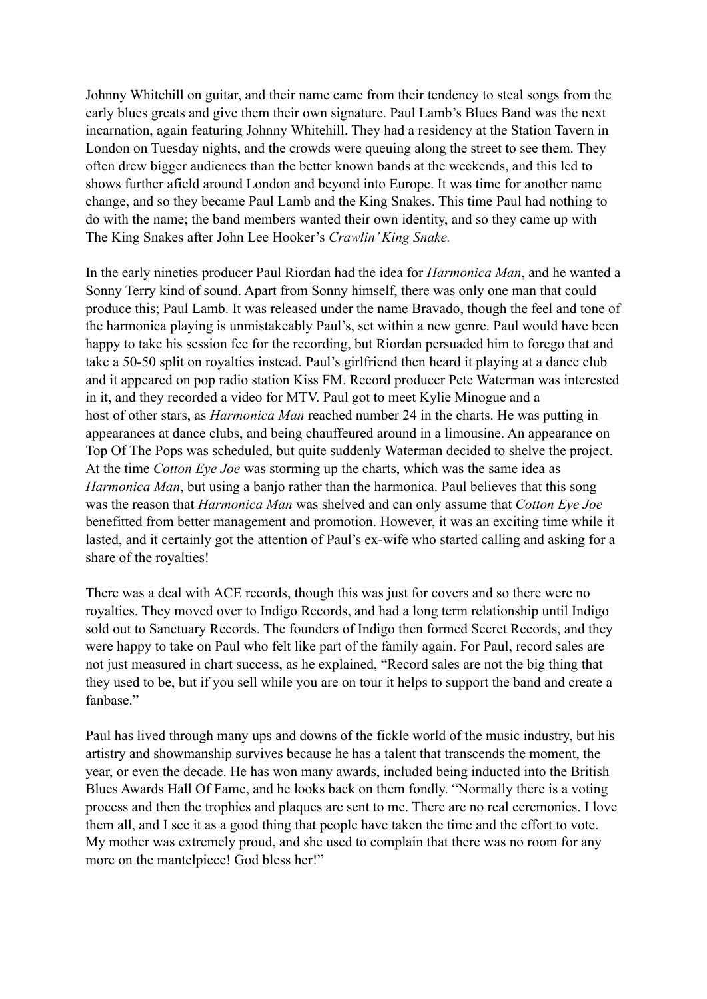Johnny Whitehill on guitar, and their name came from their tendency to steal songs from the early blues greats and give them their own signature. Paul Lamb's Blues Band was the next incarnation, again featuring Johnny Whitehill. They had a residency at the Station Tavern in London on Tuesday nights, and the crowds were queuing along the street to see them. They often drew bigger audiences than the better known bands at the weekends, and this led to shows further afield around London and beyond into Europe. It was time for another name change, and so they became Paul Lamb and the King Snakes. This time Paul had nothing to do with the name; the band members wanted their own identity, and so they came up with The King Snakes after John Lee Hooker's *Crawlin' King Snake.* 

In the early nineties producer Paul Riordan had the idea for *Harmonica Man*, and he wanted a Sonny Terry kind of sound. Apart from Sonny himself, there was only one man that could produce this; Paul Lamb. It was released under the name Bravado, though the feel and tone of the harmonica playing is unmistakeably Paul's, set within a new genre. Paul would have been happy to take his session fee for the recording, but Riordan persuaded him to forego that and take a 50-50 split on royalties instead. Paul's girlfriend then heard it playing at a dance club and it appeared on pop radio station Kiss FM. Record producer Pete Waterman was interested in it, and they recorded a video for MTV. Paul got to meet Kylie Minogue and a host of other stars, as *Harmonica Man* reached number 24 in the charts. He was putting in appearances at dance clubs, and being chauffeured around in a limousine. An appearance on Top Of The Pops was scheduled, but quite suddenly Waterman decided to shelve the project. At the time *Cotton Eye Joe* was storming up the charts, which was the same idea as *Harmonica Man*, but using a banjo rather than the harmonica. Paul believes that this song was the reason that *Harmonica Man* was shelved and can only assume that *Cotton Eye Joe* benefitted from better management and promotion. However, it was an exciting time while it lasted, and it certainly got the attention of Paul's ex-wife who started calling and asking for a share of the royalties!

There was a deal with ACE records, though this was just for covers and so there were no royalties. They moved over to Indigo Records, and had a long term relationship until Indigo sold out to Sanctuary Records. The founders of Indigo then formed Secret Records, and they were happy to take on Paul who felt like part of the family again. For Paul, record sales are not just measured in chart success, as he explained, "Record sales are not the big thing that they used to be, but if you sell while you are on tour it helps to support the band and create a fanbase."

Paul has lived through many ups and downs of the fickle world of the music industry, but his artistry and showmanship survives because he has a talent that transcends the moment, the year, or even the decade. He has won many awards, included being inducted into the British Blues Awards Hall Of Fame, and he looks back on them fondly. "Normally there is a voting process and then the trophies and plaques are sent to me. There are no real ceremonies. I love them all, and I see it as a good thing that people have taken the time and the effort to vote. My mother was extremely proud, and she used to complain that there was no room for any more on the mantelpiece! God bless her!"